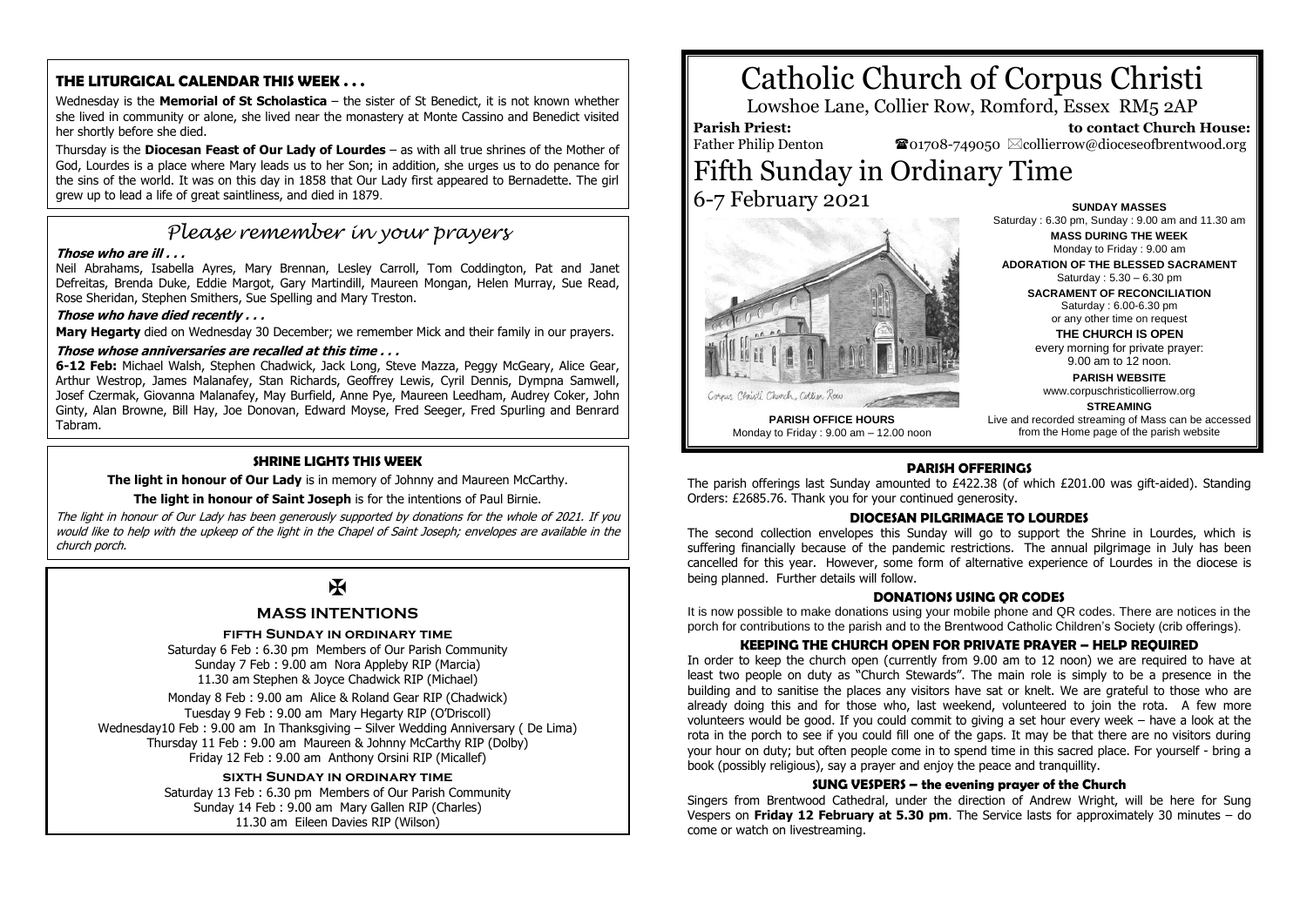## **THE LITURGICAL CALENDAR THIS WEEK . . .**

Wednesday is the **Memorial of St Scholastica** – the sister of St Benedict, it is not known whether she lived in community or alone, she lived near the monastery at Monte Cassino and Benedict visited her shortly before she died.

Thursday is the **Diocesan Feast of Our Lady of Lourdes** – as with all true shrines of the Mother of God, Lourdes is a place where Mary leads us to her Son; in addition, she urges us to do penance for the sins of the world. It was on this day in 1858 that Our Lady first appeared to Bernadette. The girl grew up to lead a life of great saintliness, and died in 1879.

# *Please remember in your prayers*

## **Those who are ill . . .**

Neil Abrahams, Isabella Ayres, Mary Brennan, Lesley Carroll, Tom Coddington, Pat and Janet Defreitas, Brenda Duke, Eddie Margot, Gary Martindill, Maureen Mongan, Helen Murray, Sue Read, Rose Sheridan, Stephen Smithers, Sue Spelling and Mary Treston.

## **Those who have died recently . . .**

**Mary Hegarty** died on Wednesday 30 December: we remember Mick and their family in our prayers.

## **Those whose anniversaries are recalled at this time . . .**

**6-12 Feb:** Michael Walsh, Stephen Chadwick, Jack Long, Steve Mazza, Peggy McGeary, Alice Gear, Arthur Westrop, James Malanafey, Stan Richards, Geoffrey Lewis, Cyril Dennis, Dympna Samwell, Josef Czermak, Giovanna Malanafey, May Burfield, Anne Pye, Maureen Leedham, Audrey Coker, John Ginty, Alan Browne, Bill Hay, Joe Donovan, Edward Moyse, Fred Seeger, Fred Spurling and Benrard Tabram.

## **SHRINE LIGHTS THIS WEEK**

**The light in honour of Our Lady** is in memory of Johnny and Maureen McCarthy.

## **The light in honour of Saint Joseph** is for the intentions of Paul Birnie.

The light in honour of Our Lady has been generously supported by donations for the whole of 2021. If you would like to help with the upkeep of the light in the Chapel of Saint Joseph; envelopes are available in the church porch.

# $\mathbb{R}$

## **MASS INTENTIONS**

## **fifth Sunday in ordinary time**

Saturday 6 Feb : 6.30 pm Members of Our Parish Community Sunday 7 Feb : 9.00 am Nora Appleby RIP (Marcia) 11.30 am Stephen & Joyce Chadwick RIP (Michael)

Monday 8 Feb : 9.00 am Alice & Roland Gear RIP (Chadwick) Tuesday 9 Feb : 9.00 am Mary Hegarty RIP (O'Driscoll) Wednesday10 Feb : 9.00 am In Thanksgiving – Silver Wedding Anniversary ( De Lima) Thursday 11 Feb : 9.00 am Maureen & Johnny McCarthy RIP (Dolby) Friday 12 Feb : 9.00 am Anthony Orsini RIP (Micallef)

## **sixth Sunday in ordinary time**

Saturday 13 Feb : 6.30 pm Members of Our Parish Community Sunday 14 Feb : 9.00 am Mary Gallen RIP (Charles) 11.30 am Eileen Davies RIP (Wilson)

# Catholic Church of Corpus Christi

Lowshoe Lane, Collier Row, Romford, Essex RM5 2AP

## **Parish Priest:**

 **to contact Church House:**  $\bullet$ 01708-749050  $\boxtimes$ collierrow@dioceseofbrentwood.org

# Father Philip Denton Fifth Sunday in Ordinary Time 6-7 February 2021



**SUNDAY MASSES** Saturday : 6.30 pm, Sunday : 9.00 am and 11.30 am **MASS DURING THE WEEK** Monday to Friday : 9.00 am

**ADORATION OF THE BLESSED SACRAMENT** Saturday : 5.30 – 6.30 pm

**SACRAMENT OF RECONCILIATION** Saturday : 6.00-6.30 pm or any other time on request

**THE CHURCH IS OPEN** every morning for private prayer:

9.00 am to 12 noon.

**PARISH WEBSITE** www.corpuschristicollierrow.org

#### **STREAMING**

**PARISH OFFICE HOURS** Monday to Friday : 9.00 am – 12.00 noon Live and recorded streaming of Mass can be accessed from the Home page of the parish website

## **PARISH OFFERINGS**

The parish offerings last Sunday amounted to £422.38 (of which £201.00 was gift-aided). Standing Orders: £2685.76. Thank you for your continued generosity.

## **DIOCESAN PILGRIMAGE TO LOURDES**

The second collection envelopes this Sunday will go to support the Shrine in Lourdes, which is suffering financially because of the pandemic restrictions. The annual pilgrimage in July has been cancelled for this year. However, some form of alternative experience of Lourdes in the diocese is being planned. Further details will follow.

## **DONATIONS USING QR CODES**

It is now possible to make donations using your mobile phone and QR codes. There are notices in the porch for contributions to the parish and to the Brentwood Catholic Children's Society (crib offerings).

## **KEEPING THE CHURCH OPEN FOR PRIVATE PRAYER – HELP REQUIRED**

In order to keep the church open (currently from 9.00 am to 12 noon) we are required to have at least two people on duty as "Church Stewards". The main role is simply to be a presence in the building and to sanitise the places any visitors have sat or knelt. We are grateful to those who are already doing this and for those who, last weekend, volunteered to join the rota. A few more volunteers would be good. If you could commit to giving a set hour every week – have a look at the rota in the porch to see if you could fill one of the gaps. It may be that there are no visitors during your hour on duty; but often people come in to spend time in this sacred place. For yourself - bring a book (possibly religious), say a prayer and enjoy the peace and tranquillity.

#### **SUNG VESPERS – the evening prayer of the Church**

Singers from Brentwood Cathedral, under the direction of Andrew Wright, will be here for Sung Vespers on **Friday 12 February at 5.30 pm**. The Service lasts for approximately 30 minutes – do come or watch on livestreaming.